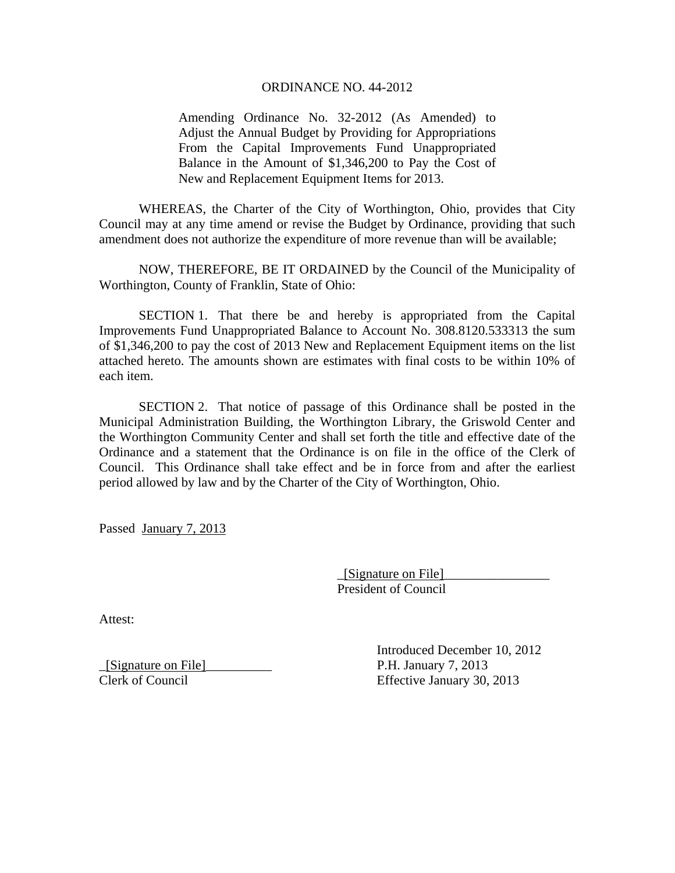## ORDINANCE NO. 44-2012

Amending Ordinance No. 32-2012 (As Amended) to Adjust the Annual Budget by Providing for Appropriations From the Capital Improvements Fund Unappropriated Balance in the Amount of \$1,346,200 to Pay the Cost of New and Replacement Equipment Items for 2013.

 WHEREAS, the Charter of the City of Worthington, Ohio, provides that City Council may at any time amend or revise the Budget by Ordinance, providing that such amendment does not authorize the expenditure of more revenue than will be available;

 NOW, THEREFORE, BE IT ORDAINED by the Council of the Municipality of Worthington, County of Franklin, State of Ohio:

 SECTION 1. That there be and hereby is appropriated from the Capital Improvements Fund Unappropriated Balance to Account No. 308.8120.533313 the sum of \$1,346,200 to pay the cost of 2013 New and Replacement Equipment items on the list attached hereto. The amounts shown are estimates with final costs to be within 10% of each item.

 SECTION 2. That notice of passage of this Ordinance shall be posted in the Municipal Administration Building, the Worthington Library, the Griswold Center and the Worthington Community Center and shall set forth the title and effective date of the Ordinance and a statement that the Ordinance is on file in the office of the Clerk of Council. This Ordinance shall take effect and be in force from and after the earliest period allowed by law and by the Charter of the City of Worthington, Ohio.

Passed January 7, 2013

 \_[Signature on File]\_\_\_\_\_\_\_\_\_\_\_\_\_\_\_\_ President of Council

Attest:

\_[Signature on File]\_\_\_\_\_\_\_\_\_\_ P.H. January 7, 2013

 Introduced December 10, 2012 Clerk of Council Effective January 30, 2013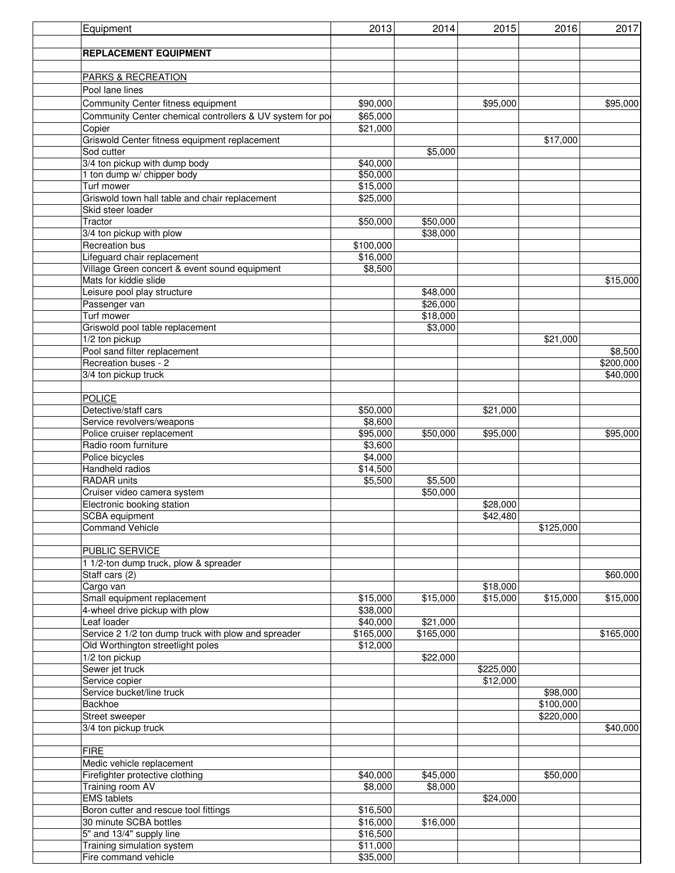| Equipment                                                | 2013                 | 2014                 | 2015      | 2016      | 2017      |
|----------------------------------------------------------|----------------------|----------------------|-----------|-----------|-----------|
|                                                          |                      |                      |           |           |           |
| <b>REPLACEMENT EQUIPMENT</b>                             |                      |                      |           |           |           |
|                                                          |                      |                      |           |           |           |
| <b>PARKS &amp; RECREATION</b>                            |                      |                      |           |           |           |
| Pool lane lines                                          |                      |                      |           |           |           |
| Community Center fitness equipment                       | \$90,000             |                      | \$95,000  |           | \$95,000  |
| Community Center chemical controllers & UV system for po | \$65,000             |                      |           |           |           |
| Copier                                                   | \$21,000             |                      |           |           |           |
| Griswold Center fitness equipment replacement            |                      |                      |           | \$17,000  |           |
| Sod cutter                                               |                      | \$5,000              |           |           |           |
| 3/4 ton pickup with dump body                            | \$40,000             |                      |           |           |           |
| 1 ton dump w/ chipper body                               | \$50,000             |                      |           |           |           |
| Turf mower                                               | \$15,000             |                      |           |           |           |
| Griswold town hall table and chair replacement           | \$25,000             |                      |           |           |           |
| Skid steer loader                                        |                      |                      |           |           |           |
| Tractor                                                  | \$50,000             | \$50,000             |           |           |           |
| 3/4 ton pickup with plow                                 |                      | \$38,000             |           |           |           |
| Recreation bus                                           | \$100,000            |                      |           |           |           |
| Lifeguard chair replacement                              | \$16,000             |                      |           |           |           |
| Village Green concert & event sound equipment            | \$8,500              |                      |           |           |           |
| Mats for kiddie slide<br>Leisure pool play structure     |                      |                      |           |           | \$15,000  |
|                                                          |                      | \$48,000<br>\$26,000 |           |           |           |
| Passenger van<br>Turf mower                              |                      | \$18,000             |           |           |           |
| Griswold pool table replacement                          |                      | \$3,000              |           |           |           |
| 1/2 ton pickup                                           |                      |                      |           | \$21,000  |           |
| Pool sand filter replacement                             |                      |                      |           |           | \$8,500   |
| Recreation buses - 2                                     |                      |                      |           |           | \$200,000 |
| 3/4 ton pickup truck                                     |                      |                      |           |           | \$40,000  |
|                                                          |                      |                      |           |           |           |
| <b>POLICE</b>                                            |                      |                      |           |           |           |
| Detective/staff cars                                     | \$50,000             |                      | \$21,000  |           |           |
| Service revolvers/weapons                                | \$8,600              |                      |           |           |           |
| Police cruiser replacement                               | \$95,000             | \$50,000             | \$95,000  |           | \$95,000  |
| Radio room furniture                                     | \$3,600              |                      |           |           |           |
| Police bicycles                                          | \$4,000              |                      |           |           |           |
| Handheld radios                                          | \$14,500             |                      |           |           |           |
| RADAR units                                              | \$5,500              | \$5,500              |           |           |           |
| Cruiser video camera system                              |                      | \$50,000             |           |           |           |
| Electronic booking station                               |                      |                      | \$28,000  |           |           |
| SCBA equipment                                           |                      |                      | \$42,480  |           |           |
| <b>Command Vehicle</b>                                   |                      |                      |           | \$125,000 |           |
|                                                          |                      |                      |           |           |           |
| <b>PUBLIC SERVICE</b>                                    |                      |                      |           |           |           |
| 1 1/2-ton dump truck, plow & spreader                    |                      |                      |           |           |           |
| Staff cars (2)<br>Cargo van                              |                      |                      | \$18,000  |           | \$60,000  |
| Small equipment replacement                              | \$15,000             | \$15,000             | \$15,000  | \$15,000  | \$15,000  |
| 4-wheel drive pickup with plow                           | \$38,000             |                      |           |           |           |
| Leaf loader                                              | \$40,000             | \$21,000             |           |           |           |
| Service 2 1/2 ton dump truck with plow and spreader      | \$165,000            | \$165,000            |           |           | \$165,000 |
| Old Worthington streetlight poles                        | \$12,000             |                      |           |           |           |
| 1/2 ton pickup                                           |                      | \$22,000             |           |           |           |
| Sewer jet truck                                          |                      |                      | \$225,000 |           |           |
| Service copier                                           |                      |                      | \$12,000  |           |           |
| Service bucket/line truck                                |                      |                      |           | \$98,000  |           |
| Backhoe                                                  |                      |                      |           | \$100,000 |           |
| Street sweeper                                           |                      |                      |           | \$220,000 |           |
| 3/4 ton pickup truck                                     |                      |                      |           |           | \$40,000  |
|                                                          |                      |                      |           |           |           |
| <b>FIRE</b>                                              |                      |                      |           |           |           |
| Medic vehicle replacement                                |                      |                      |           |           |           |
| Firefighter protective clothing                          | \$40,000             | \$45,000             |           | \$50,000  |           |
| <b>Training room AV</b>                                  | \$8,000              | \$8,000              |           |           |           |
| <b>EMS</b> tablets                                       |                      |                      | \$24,000  |           |           |
| Boron cutter and rescue tool fittings                    | \$16,500             |                      |           |           |           |
| 30 minute SCBA bottles                                   | \$16,000             | \$16,000             |           |           |           |
| 5" and 13/4" supply line                                 | \$16,500             |                      |           |           |           |
| Training simulation system<br>Fire command vehicle       | \$11,000<br>\$35,000 |                      |           |           |           |
|                                                          |                      |                      |           |           |           |